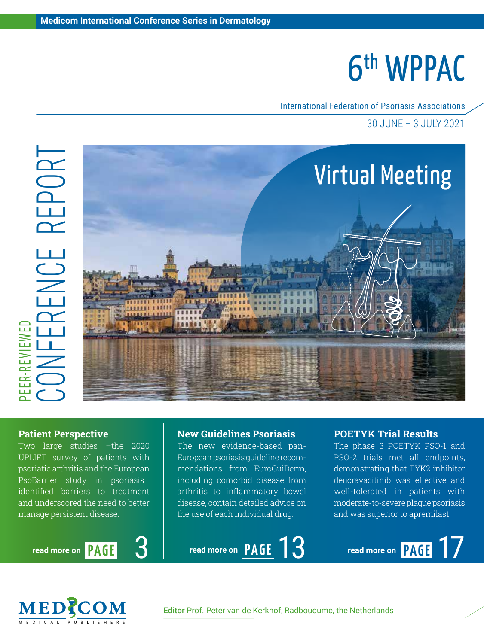International Federation of Psoriasis Associations

30 JUNE – 3 JULY 2021



#### Patient Perspective

Two large studies –the 2020 UPLIFT survey of patients with psoriatic arthritis and the European PsoBarrier study in psoriasis– identified barriers to treatment and underscored the need to better manage persistent disease.

**read more on PAGE** 

#### New Guidelines Psoriasis

The new evidence-based pan-European psoriasis guideline recommendations from EuroGuiDerm, including comorbid disease from arthritis to inflammatory bowel disease, contain detailed advice on the use of each individual drug.

### 3 **read more on** PAGE 13

### POETYK Trial Results

The phase 3 POETYK PSO-1 and PSO-2 trials met all endpoints, demonstrating that TYK2 inhibitor deucravacitinib was effective and well-tolerated in patients with moderate-to-severe plaque psoriasis and was superior to apremilast.

read more on **PAGE** 7

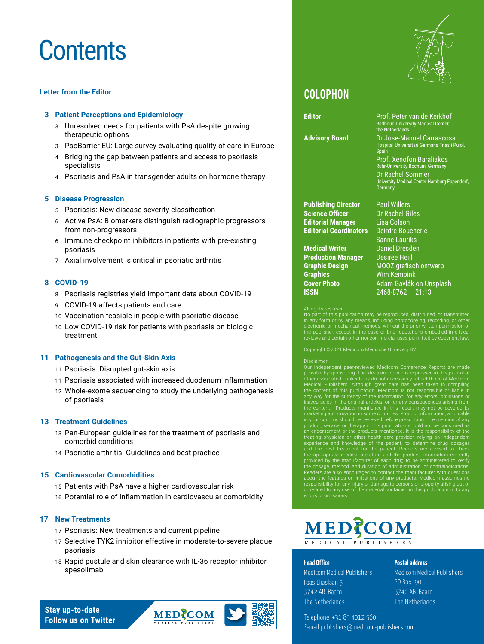### **Contents**

#### **Letter from the Editor**

#### **3 [Patient Perceptions and Epidemiology](#page-3-0)**

- 3 [Unresolved needs for patients with PsA despite growing](#page-3-0)  [therapeutic options](#page-3-0)
- 3 [PsoBarrier EU: Large survey evaluating quality of care in Europe](#page-3-0)
- 4 [Bridging the gap between patients and access to psoriasis](#page-4-0)  [specialists](#page-4-0)
- 4 [Psoriasis and PsA in transgender adults on hormone therapy](#page-4-0)

#### **5 [Disease Progression](#page-5-0)**

- 5 [Psoriasis: New disease severity classification](#page-5-0)
- 6 [Active PsA: Biomarkers distinguish radiographic progressors](#page-6-0)  [from non-progressors](#page-6-0)
- 6 [Immune checkpoint inhibitors in patients with pre-existing](#page-6-0)  [psoriasis](#page-6-0)
- 7 [Axial involvement is critical in psoriatic arthritis](#page-7-0)

#### **8 [COVID-19](#page-8-0)**

- 8 [Psoriasis registries yield important data about COVID-19](#page-8-0)
- 9 [COVID-19 affects patients and care](#page-9-0)
- 10 [Vaccination feasible in people with psoriatic disease](#page-10-0)
- 10 [Low COVID-19 risk for patients with psoriasis on biologic](#page-10-0)  [treatment](#page-10-0)

#### **11 [Pathogenesis and the Gut-Skin Axis](#page-11-0)**

- 11 [Psoriasis: Disrupted gut-skin axis](#page-11-0)
- 11 [Psoriasis associated with increased duodenum inflammation](#page-11-0)
- 12 [Whole-exome sequencing to study the underlying pathogenesis](#page-12-0)  [of psoriasis](#page-12-0)

#### **13 [Treatment Guidelines](#page-13-0)**

- 13 [Pan-European guidelines for the treatment of psoriasis and](#page-13-0)  [comorbid conditions](#page-13-0)
- 14 [Psoriatic arthritis: Guidelines and best practice](#page-14-0)

#### **15 [Cardiovascular Comorbidities](#page-15-0)**

- 15 [Patients with PsA have a higher cardiovascular risk](#page-15-0)
- 16 [Potential role of inflammation in cardiovascular comorbidity](#page-16-0)

#### **[17 New Treatments](#page-17-0)**

- 17 [Psoriasis: New treatments and current pipeline](#page-17-0)
- 17 [Selective TYK2 inhibitor effective in moderate-to-severe plaque](#page-17-0)  [psoriasis](#page-17-0)
- 18 [Rapid pustule and skin clearance with IL-36 receptor inhibitor](#page-18-0)  [spesolimab](#page-18-0)



### **COLOPHON**

**Editor** Prof. Peter van de Kerkhof

**Advisory Board** Dr Jose-Manuel Carrascosa Hospital Universitari Germans Trias i Pujol,

**Publishing Director** Paul Willers **Science Officer** Dr Rachel Giles **Editorial Manager** Lisa Colson **Editorial Coordinators** 

**Medical Writer** Daniel Dresden **Production Manager** Desiree Heijl **Graphics** Wim Kempink **ISSN** 2468-8762 21:13

Sanne Lauriks **Graphic Design** MOOZ grafisch ontwerp **Cover Photo Adam Gavlák on Unsplash** 

Radboud University Medical Center,

Prof. Xenofon Baraliakos Ruhr-University Bochum, Germany Dr Rachel Sommer

University Medical Center Hamburg-Eppendorf,

the Netherlands

Spain

**Germany** 

#### All rights reserved.

in any form or by any means, including photocopying, recording, or other electronic or mechanical methods, without the prior written permission of the publisher, except in the case of brief quotations embodied in critical ews and certain other noncommercial uses permitted by copyright lav

Copyright ©2021 Medicom Medische Uitgeverij BV

Disclaimer:<br>Disclaimer:<br>Our independent peer-reviewed Medicom Conference Reports are made<br>possible by sponsoring. The ideas and opinions expressed in this journal or<br>otherical Publishers. Although great care has been taken or related to any use of the material contained in this publication or to any errors or omissions.

### MEDZCOM MEDICAL PUBLISHERS

#### Head Office

Medicom Medical Publishers Faas Eliaslaan 5 3742 AR Baarn The Netherlands

#### Postal address

Medicom Medical Publishers PO Box 90 3740 AB Baarn The Netherlands

Telephone +31 85 4012 560 E-mail publishers@medicom-publishers.com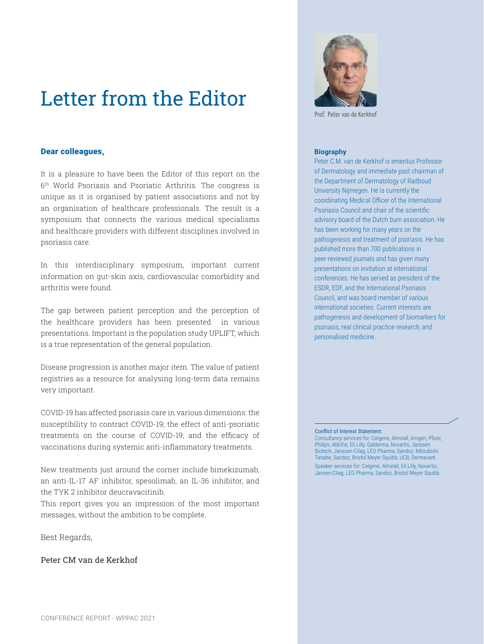### Letter from the Editor

#### Dear colleagues,

It is a pleasure to have been the Editor of this report on the 6th World Psoriasis and Psoriatic Arthritis. The congress is unique as it is organised by patient associations and not by an organisation of healthcare professionals. The result is a symposium that connects the various medical specialisms and healthcare providers with different disciplines involved in psoriasis care.

In this interdisciplinary symposium, important current information on gut-skin axis, cardiovascular comorbidity and arthritis were found.

The gap between patient perception and the perception of the healthcare providers has been presented in various presentations. Important is the population study UPLIFT, which is a true representation of the general population.

Disease progression is another major item. The value of patient registries as a resource for analysing long-term data remains very important.

COVID-19 has affected psoriasis care in various dimensions: the susceptibility to contract COVID-19; the effect of anti-psoriatic treatments on the course of COVID-19; and the efficacy of vaccinations during systemic anti-inflammatory treatments.

New treatments just around the corner include bimekizumab, an anti-IL-17 AF inhibitor, spesolimab, an IL-36 inhibitor, and the TYK 2 inhibitor deucravacitinib.

This report gives you an impression of the most important messages, without the ambition to be complete.

Best Regards,

Peter CM van de Kerkhof



Prof. Peter van de Kerkho

#### **Biography**

Peter C.M. van de Kerkhof is emeritus Professor of Dermatology and immediate past chairman of the Department of Dermatology of Radboud University Nijmegen. He is currently the coordinating Medical Officer of the International Psoriasis Council and chair of the scientific advisory board of the Dutch burn association. He has been working for many years on the pathogenesis and treatment of psoriasis. He has published more than 700 publications in peer-reviewed journals and has given many presentations on invitation at international conferences. He has served as president of the ESDR, EDF, and the International Psoriasis Council, and was board member of various international societies. Current interests are pathogenesis and development of biomarkers for psoriasis; real clinical practice research; and personalised medicine.

#### Conflict of Interest Statement:

Consultancy services for: Celgene, Almirall, Amgen, Pfizer, Philips, AbbVie, Eli Lilly, Galderma, Novartis, Janssen Biotech, Janssen-Cilag, LEO Pharma, Sandoz, Mitsubishi Tanabe, Sandoz, Bristol Meyer Squibb, UCB, Dermavant. Speaker services for: Celgene, Almirall, Eli Lilly, Novartis, Jansen-Cilag, LEO Pharma, Sandoz, Bristol Meyer Squibb.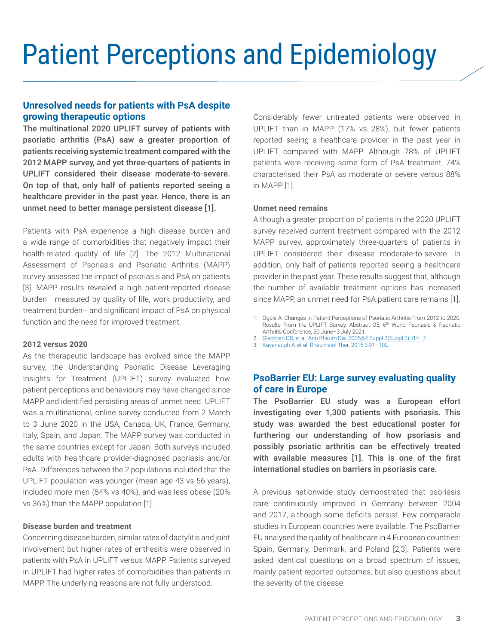# <span id="page-3-0"></span>Patient Perceptions and Epidemiology

#### **Unresolved needs for patients with PsA despite growing therapeutic options**

The multinational 2020 UPLIFT survey of patients with psoriatic arthritis (PsA) saw a greater proportion of patients receiving systemic treatment compared with the 2012 MAPP survey, and yet three-quarters of patients in UPLIFT considered their disease moderate-to-severe. On top of that, only half of patients reported seeing a healthcare provider in the past year. Hence, there is an unmet need to better manage persistent disease [1].

Patients with PsA experience a high disease burden and a wide range of comorbidities that negatively impact their health-related quality of life [2]. The 2012 Multinational Assessment of Psoriasis and Psoriatic Arthritis (MAPP) survey assessed the impact of psoriasis and PsA on patients [3]. MAPP results revealed a high patient-reported disease burden –measured by quality of life, work productivity, and treatment burden– and significant impact of PsA on physical function and the need for improved treatment.

#### **2012 versus 2020**

As the therapeutic landscape has evolved since the MAPP survey, the Understanding Psoriatic Disease Leveraging Insights for Treatment (UPLIFT) survey evaluated how patient perceptions and behaviours may have changed since MAPP and identified persisting areas of unmet need. UPLIFT was a multinational, online survey conducted from 2 March to 3 June 2020 in the USA, Canada, UK, France, Germany, Italy, Spain, and Japan. The MAPP survey was conducted in the same countries except for Japan. Both surveys included adults with healthcare provider-diagnosed psoriasis and/or PsA. Differences between the 2 populations included that the UPLIFT population was younger (mean age 43 vs 56 years), included more men (54% vs 40%), and was less obese (20% vs 36%) than the MAPP population [1].

#### **Disease burden and treatment**

Concerning disease burden, similar rates of dactylitis and joint involvement but higher rates of enthesitis were observed in patients with PsA in UPLIFT versus MAPP. Patients surveyed in UPLIFT had higher rates of comorbidities than patients in MAPP. The underlying reasons are not fully understood.

Considerably fewer untreated patients were observed in UPLIFT than in MAPP (17% vs 28%), but fewer patients reported seeing a healthcare provider in the past year in UPLIFT compared with MAPP. Although 78% of UPLIFT patients were receiving some form of PsA treatment, 74% characterised their PsA as moderate or severe versus 88% in MAPP [1].

#### **Unmet need remains**

Although a greater proportion of patients in the 2020 UPLIFT survey received current treatment compared with the 2012 MAPP survey, approximately three-quarters of patients in UPLIFT considered their disease moderate-to-severe. In addition, only half of patients reported seeing a healthcare provider in the past year. These results suggest that, although the number of available treatment options has increased since MAPP, an unmet need for PsA patient care remains [1].

- 1. Ogdie A. Changes in Patient Perceptions of Psoriatic Arthritis From 2012 to 2020: Results From the UPLIFT Survey. Abstract 05, 6<sup>th</sup> World Psoriasis & Psoriatic Arthritis Conference, 30 June–3 July 2021.
- 2. Gladman DD, et al. Ann Rheum Dis. 2005;64 Suppl 2(Suppl 2):ii14-7.
- 3. [Kavanaugh A, et al. Rheumatol Ther. 2016;3:91–102.](https://pubmed.ncbi.nlm.nih.gov/27747516/)

### **PsoBarrier EU: Large survey evaluating quality of care in Europe**

The PsoBarrier EU study was a European effort investigating over 1,300 patients with psoriasis. This study was awarded the best educational poster for furthering our understanding of how psoriasis and possibly psoriatic arthritis can be effectively treated with available measures [1]. This is one of the first international studies on barriers in psoriasis care.

A previous nationwide study demonstrated that psoriasis care continuously improved in Germany between 2004 and 2017, although some deficits persist. Few comparable studies in European countries were available. The PsoBarrier EU analysed the quality of healthcare in 4 European countries: Spain, Germany, Denmark, and Poland [2,3]. Patients were asked identical questions on a broad spectrum of issues, mainly patient-reported outcomes, but also questions about the severity of the disease.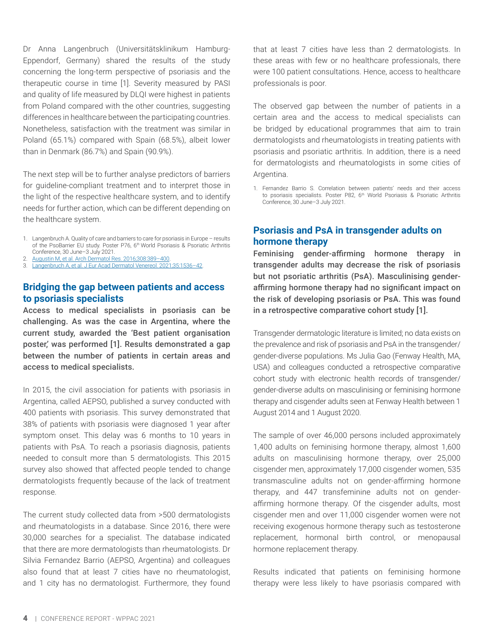<span id="page-4-0"></span>Dr Anna Langenbruch (Universitätsklinikum Hamburg-Eppendorf, Germany) shared the results of the study concerning the long-term perspective of psoriasis and the therapeutic course in time [1]. Severity measured by PASI and quality of life measured by DLQI were highest in patients from Poland compared with the other countries, suggesting differences in healthcare between the participating countries. Nonetheless, satisfaction with the treatment was similar in Poland (65.1%) compared with Spain (68.5%), albeit lower than in Denmark (86.7%) and Spain (90.9%).

The next step will be to further analyse predictors of barriers for guideline-compliant treatment and to interpret those in the light of the respective healthcare system, and to identify needs for further action, which can be different depending on the healthcare system.

- 1. Langenbruch A. Quality of care and barriers to care for psoriasis in Europe results of the PsoBarrier EU study. Poster P76, 6<sup>th</sup> World Psoriasis & Psoriatic Arthritis Conference, 30 June–3 July 2021.
- 2. [Augustin M, et al. Arch Dermatol Res. 2016;308:389–400.](https://pubmed.ncbi.nlm.nih.gov/27048503/)
- 3. [Langenbruch A, et al. J Eur Acad Dermatol Venereol. 2021;35:1536–42](https://pubmed.ncbi.nlm.nih.gov/33714231/).

#### **Bridging the gap between patients and access to psoriasis specialists**

Access to medical specialists in psoriasis can be challenging. As was the case in Argentina, where the current study, awarded the 'Best patient organisation poster,' was performed [1]. Results demonstrated a gap between the number of patients in certain areas and access to medical specialists.

In 2015, the civil association for patients with psoriasis in Argentina, called AEPSO, published a survey conducted with 400 patients with psoriasis. This survey demonstrated that 38% of patients with psoriasis were diagnosed 1 year after symptom onset. This delay was 6 months to 10 years in patients with PsA. To reach a psoriasis diagnosis, patients needed to consult more than 5 dermatologists. This 2015 survey also showed that affected people tended to change dermatologists frequently because of the lack of treatment response.

The current study collected data from >500 dermatologists and rheumatologists in a database. Since 2016, there were 30,000 searches for a specialist. The database indicated that there are more dermatologists than rheumatologists. Dr Silvia Fernandez Barrio (AEPSO, Argentina) and colleagues also found that at least 7 cities have no rheumatologist, and 1 city has no dermatologist. Furthermore, they found that at least 7 cities have less than 2 dermatologists. In these areas with few or no healthcare professionals, there were 100 patient consultations. Hence, access to healthcare professionals is poor.

The observed gap between the number of patients in a certain area and the access to medical specialists can be bridged by educational programmes that aim to train dermatologists and rheumatologists in treating patients with psoriasis and psoriatic arthritis. In addition, there is a need for dermatologists and rheumatologists in some cities of Argentina.

1. Fernandez Barrio S. Correlation between patients' needs and their access to psoriasis specialists. Poster P82, 6<sup>th</sup> World Psoriasis & Psoriatic Arthritis Conference, 30 June–3 July 2021.

#### **Psoriasis and PsA in transgender adults on hormone therapy**

Feminising gender-affirming hormone therapy in transgender adults may decrease the risk of psoriasis but not psoriatic arthritis (PsA). Masculinising genderaffirming hormone therapy had no significant impact on the risk of developing psoriasis or PsA. This was found in a retrospective comparative cohort study [1].

Transgender dermatologic literature is limited; no data exists on the prevalence and risk of psoriasis and PsA in the transgender/ gender-diverse populations. Ms Julia Gao (Fenway Health, MA, USA) and colleagues conducted a retrospective comparative cohort study with electronic health records of transgender/ gender-diverse adults on masculinising or feminising hormone therapy and cisgender adults seen at Fenway Health between 1 August 2014 and 1 August 2020.

The sample of over 46,000 persons included approximately 1,400 adults on feminising hormone therapy, almost 1,600 adults on masculinising hormone therapy, over 25,000 cisgender men, approximately 17,000 cisgender women, 535 transmasculine adults not on gender-affirming hormone therapy, and 447 transfeminine adults not on genderaffirming hormone therapy. Of the cisgender adults, most cisgender men and over 11,000 cisgender women were not receiving exogenous hormone therapy such as testosterone replacement, hormonal birth control, or menopausal hormone replacement therapy.

Results indicated that patients on feminising hormone therapy were less likely to have psoriasis compared with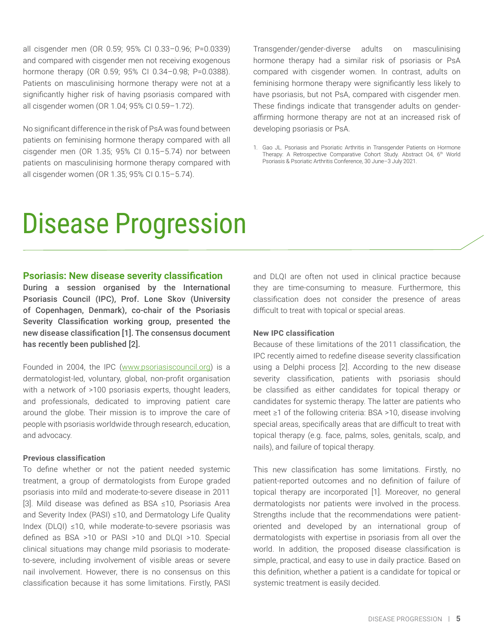<span id="page-5-0"></span>all cisgender men (OR 0.59; 95% CI 0.33–0.96; P=0.0339) and compared with cisgender men not receiving exogenous hormone therapy (OR 0.59; 95% CI 0.34–0.98; P=0.0388). Patients on masculinising hormone therapy were not at a significantly higher risk of having psoriasis compared with all cisgender women (OR 1.04; 95% CI 0.59–1.72).

No significant difference in the risk of PsA was found between patients on feminising hormone therapy compared with all cisgender men (OR 1.35; 95% CI 0.15–5.74) nor between patients on masculinising hormone therapy compared with all cisgender women (OR 1.35; 95% CI 0.15–5.74).

Transgender/gender-diverse adults on masculinising hormone therapy had a similar risk of psoriasis or PsA compared with cisgender women. In contrast, adults on feminising hormone therapy were significantly less likely to have psoriasis, but not PsA, compared with cisgender men. These findings indicate that transgender adults on genderaffirming hormone therapy are not at an increased risk of developing psoriasis or PsA.

1. Gao JL. Psoriasis and Psoriatic Arthritis in Transgender Patients on Hormone Therapy: A Retrospective Comparative Cohort Study. Abstract 04, 6<sup>th</sup> World Psoriasis & Psoriatic Arthritis Conference, 30 June–3 July 2021.

### Disease Progression

#### **Psoriasis: New disease severity classification**

During a session organised by the International Psoriasis Council (IPC), Prof. Lone Skov (University of Copenhagen, Denmark), co-chair of the Psoriasis Severity Classification working group, presented the new disease classification [1]. The consensus document has recently been published [2].

Founded in 2004, the IPC [\(www.psoriasiscouncil.org](http://www.psoriasiscouncil.org)) is a dermatologist-led, voluntary, global, non-profit organisation with a network of >100 psoriasis experts, thought leaders, and professionals, dedicated to improving patient care around the globe. Their mission is to improve the care of people with psoriasis worldwide through research, education, and advocacy.

#### **Previous classification**

To define whether or not the patient needed systemic treatment, a group of dermatologists from Europe graded psoriasis into mild and moderate-to-severe disease in 2011 [3]. Mild disease was defined as BSA ≤10, Psoriasis Area and Severity Index (PASI) ≤10, and Dermatology Life Quality Index (DLQI) ≤10, while moderate-to-severe psoriasis was defined as BSA >10 or PASI >10 and DLQI >10. Special clinical situations may change mild psoriasis to moderateto-severe, including involvement of visible areas or severe nail involvement. However, there is no consensus on this classification because it has some limitations. Firstly, PASI and DLQI are often not used in clinical practice because they are time-consuming to measure. Furthermore, this classification does not consider the presence of areas difficult to treat with topical or special areas.

#### **New IPC classification**

Because of these limitations of the 2011 classification, the IPC recently aimed to redefine disease severity classification using a Delphi process [2]. According to the new disease severity classification, patients with psoriasis should be classified as either candidates for topical therapy or candidates for systemic therapy. The latter are patients who meet ≥1 of the following criteria: BSA >10, disease involving special areas, specifically areas that are difficult to treat with topical therapy (e.g. face, palms, soles, genitals, scalp, and nails), and failure of topical therapy.

This new classification has some limitations. Firstly, no patient-reported outcomes and no definition of failure of topical therapy are incorporated [1]. Moreover, no general dermatologists nor patients were involved in the process. Strengths include that the recommendations were patientoriented and developed by an international group of dermatologists with expertise in psoriasis from all over the world. In addition, the proposed disease classification is simple, practical, and easy to use in daily practice. Based on this definition, whether a patient is a candidate for topical or systemic treatment is easily decided.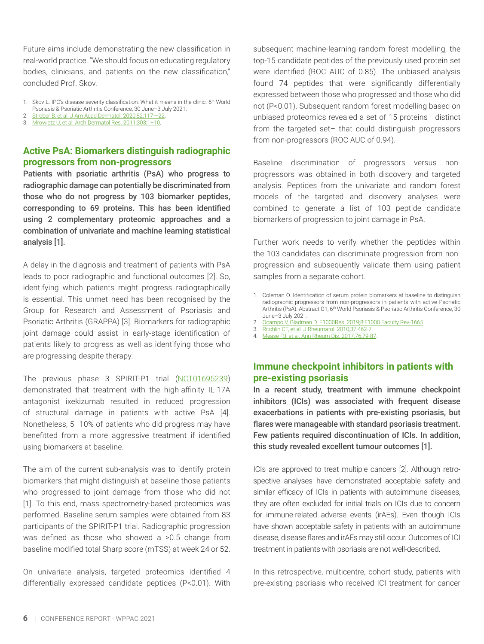<span id="page-6-0"></span>Future aims include demonstrating the new classification in real-world practice. "We should focus on educating regulatory bodies, clinicians, and patients on the new classification," concluded Prof. Skov.

- 1. Skov L. IPC's disease severity classification: What it means in the clinic. 6<sup>th</sup> World Psoriasis & Psoriatic Arthritis Conference, 30 June–3 July 2021.
- 2. [Strober B, et al. J Am Acad Dermatol. 2020;82:117-–22.](https://pubmed.ncbi.nlm.nih.gov/31425723/) 3. [Mrowietz U, et al. Arch Dermatol Res. 2011;303:1–10](https://pubmed.ncbi.nlm.nih.gov/20857129/).
- 

#### **Active PsA: Biomarkers distinguish radiographic progressors from non-progressors**

Patients with psoriatic arthritis (PsA) who progress to radiographic damage can potentially be discriminated from those who do not progress by 103 biomarker peptides, corresponding to 69 proteins. This has been identified using 2 complementary proteomic approaches and a combination of univariate and machine learning statistical analysis [1].

A delay in the diagnosis and treatment of patients with PsA leads to poor radiographic and functional outcomes [2]. So, identifying which patients might progress radiographically is essential. This unmet need has been recognised by the Group for Research and Assessment of Psoriasis and Psoriatic Arthritis (GRAPPA) [3]. Biomarkers for radiographic joint damage could assist in early-stage identification of patients likely to progress as well as identifying those who are progressing despite therapy.

The previous phase 3 SPIRIT-P1 trial ([NCT01695239](https://clinicaltrials.gov/ct2/show/NCT01695239)) demonstrated that treatment with the high-affinity IL-17A antagonist ixekizumab resulted in reduced progression of structural damage in patients with active PsA [4]. Nonetheless, 5–10% of patients who did progress may have benefitted from a more aggressive treatment if identified using biomarkers at baseline.

The aim of the current sub-analysis was to identify protein biomarkers that might distinguish at baseline those patients who progressed to joint damage from those who did not [1]. To this end, mass spectrometry-based proteomics was performed. Baseline serum samples were obtained from 83 participants of the SPIRIT-P1 trial. Radiographic progression was defined as those who showed a >0.5 change from baseline modified total Sharp score (mTSS) at week 24 or 52.

On univariate analysis, targeted proteomics identified 4 differentially expressed candidate peptides (P<0.01). With subsequent machine-learning random forest modelling, the top-15 candidate peptides of the previously used protein set were identified (ROC AUC of 0.85). The unbiased analysis found 74 peptides that were significantly differentially expressed between those who progressed and those who did not (P<0.01). Subsequent random forest modelling based on unbiased proteomics revealed a set of 15 proteins –distinct from the targeted set– that could distinguish progressors from non-progressors (ROC AUC of 0.94).

Baseline discrimination of progressors versus nonprogressors was obtained in both discovery and targeted analysis. Peptides from the univariate and random forest models of the targeted and discovery analyses were combined to generate a list of 103 peptide candidate biomarkers of progression to joint damage in PsA.

Further work needs to verify whether the peptides within the 103 candidates can discriminate progression from nonprogression and subsequently validate them using patient samples from a separate cohort.

- 1. Coleman O. Identification of serum protein biomarkers at baseline to distinguish radiographic progressors from non-progressors in patients with active Psoriatic Arthritis (PsA). Abstract 01, 6<sup>th</sup> World Psoriasis & Psoriatic Arthritis Conference, 30 June–3 July 2021.
- 2. [Ocampo V, Gladman D. F1000Res. 2019;8:F1000 Faculty Rev-1665](https://pubmed.ncbi.nlm.nih.gov/31583079/).
- 3. [Ritchlin CT, et al. J Rheumatol. 2010;37:462-7](https://pubmed.ncbi.nlm.nih.gov/20147482/).
- 4. [Mease PJ, et al. Ann Rheum Dis. 2017;76:79-87](https://pubmed.ncbi.nlm.nih.gov/27553214/).

#### **Immune checkpoint inhibitors in patients with pre-existing psoriasis**

In a recent study, treatment with immune checkpoint inhibitors (ICIs) was associated with frequent disease exacerbations in patients with pre-existing psoriasis, but flares were manageable with standard psoriasis treatment. Few patients required discontinuation of ICIs. In addition, this study revealed excellent tumour outcomes [1].

ICIs are approved to treat multiple cancers [2]. Although retrospective analyses have demonstrated acceptable safety and similar efficacy of ICIs in patients with autoimmune diseases, they are often excluded for initial trials on ICIs due to concern for immune-related adverse events (irAEs). Even though ICIs have shown acceptable safety in patients with an autoimmune disease, disease flares and irAEs may still occur. Outcomes of ICI treatment in patients with psoriasis are not well-described.

In this retrospective, multicentre, cohort study, patients with pre-existing psoriasis who received ICI treatment for cancer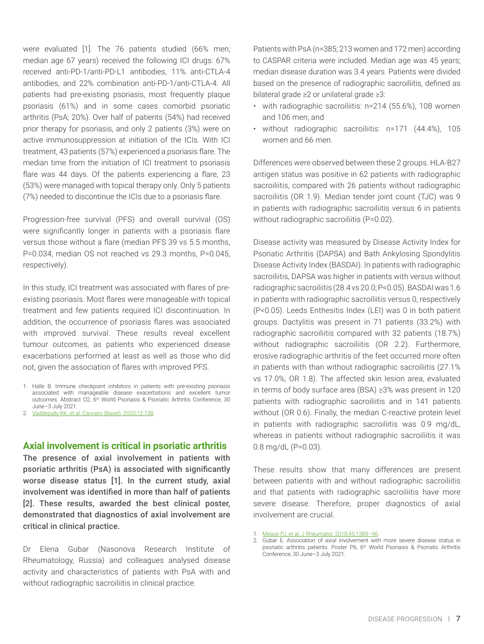<span id="page-7-0"></span>were evaluated [1]. The 76 patients studied (66% men; median age 67 years) received the following ICI drugs: 67% received anti-PD-1/anti-PD-L1 antibodies, 11% anti-CTLA-4 antibodies, and 22% combination anti-PD-1/anti-CTLA-4. All patients had pre-existing psoriasis, most frequently plaque psoriasis (61%) and in some cases comorbid psoriatic arthritis (PsA; 20%). Over half of patients (54%) had received prior therapy for psoriasis, and only 2 patients (3%) were on active immunosuppression at initiation of the ICIs. With ICI treatment, 43 patients (57%) experienced a psoriasis flare. The median time from the initiation of ICI treatment to psoriasis flare was 44 days. Of the patients experiencing a flare, 23 (53%) were managed with topical therapy only. Only 5 patients (7%) needed to discontinue the ICIs due to a psoriasis flare.

Progression-free survival (PFS) and overall survival (OS) were significantly longer in patients with a psoriasis flare versus those without a flare (median PFS 39 vs 5.5 months, P=0.034; median OS not reached vs 29.3 months, P=0.045, respectively).

In this study, ICI treatment was associated with flares of preexisting psoriasis. Most flares were manageable with topical treatment and few patients required ICI discontinuation. In addition, the occurrence of psoriasis flares was associated with improved survival. These results reveal excellent tumour outcomes, as patients who experienced disease exacerbations performed at least as well as those who did not, given the association of flares with improved PFS.

#### **Axial involvement is critical in psoriatic arthritis**

The presence of axial involvement in patients with psoriatic arthritis (PsA) is associated with significantly worse disease status [1]. In the current study, axial involvement was identified in more than half of patients [2]. These results, awarded the best clinical poster, demonstrated that diagnostics of axial involvement are critical in clinical practice.

Dr Elena Gubar (Nasonova Research Institute of Rheumatology, Russia) and colleagues analysed disease activity and characteristics of patients with PsA with and without radiographic sacroiliitis in clinical practice.

Patients with PsA (n=385; 213 women and 172 men) according to CASPAR criteria were included. Median age was 45 years; median disease duration was 3.4 years. Patients were divided based on the presence of radiographic sacroiliitis, defined as bilateral grade ≥2 or unilateral grade ≥3:

- with radiographic sacroiliitis: n=214 (55.6%), 108 women and 106 men; and
- without radiographic sacroiliitis: n=171 (44.4%), 105 women and 66 men.

Differences were observed between these 2 groups. HLA-B27 antigen status was positive in 62 patients with radiographic sacroiliitis, compared with 26 patients without radiographic sacroiliitis (OR 1.9). Median tender joint count (TJC) was 9 in patients with radiographic sacroiliitis versus 6 in patients without radiographic sacroiliitis (P=0.02).

Disease activity was measured by Disease Activity Index for Psoriatic Arthritis (DAPSA) and Bath Ankylosing Spondylitis Disease Activity Index (BASDAI). In patients with radiographic sacroiliitis, DAPSA was higher in patients with versus without radiographic sacroiliitis (28.4 vs 20.0; P<0.05). BASDAI was 1.6 in patients with radiographic sacroiliitis versus 0, respectively (P<0.05). Leeds Enthesitis Index (LEI) was 0 in both patient groups. Dactylitis was present in 71 patients (33.2%) with radiographic sacroiliitis compared with 32 patients (18.7%) without radiographic sacroiliitis (OR 2.2). Furthermore, erosive radiographic arthritis of the feet occurred more often in patients with than without radiographic sacroiliitis (27.1% vs 17.0%; OR 1.8). The affected skin lesion area, evaluated in terms of body surface area (BSA) ≥3% was present in 120 patients with radiographic sacroiliitis and in 141 patients without (OR 0.6). Finally, the median C-reactive protein level in patients with radiographic sacroiliitis was 0.9 mg/dL, whereas in patients without radiographic sacroiliitis it was 0.8 mg/dL (P=0.03).

These results show that many differences are present between patients with and without radiographic sacroiliitis and that patients with radiographic sacroiliitis have more severe disease. Therefore, proper diagnostics of axial involvement are crucial.

1. [Mease PJ, et al. J Rheumatol. 2018;45:1389–96](https://pubmed.ncbi.nlm.nih.gov/29961691/).

<sup>1.</sup> Halle B. Immune checkpoint inhibitors in patients with pre-existing psoriasis associated with manageable disease exacerbations and excellent tumor outcomes. Abstract O2, 6th World Psoriasis & Psoriatic Arthritis Conference, 30 June–3 July 2021.

<sup>2.</sup> [Vaddepally RK, et al. Cancers \(Basel\). 2020;12:738.](https://pubmed.ncbi.nlm.nih.gov/32245016/)

<sup>2.</sup> Gubar E. Association of axial involvement with more severe disease status in psoriatic arthritis patients. Poster P6, 6<sup>th</sup> World Psoriasis & Psoriatic Arthritis Conference, 30 June–3 July 2021.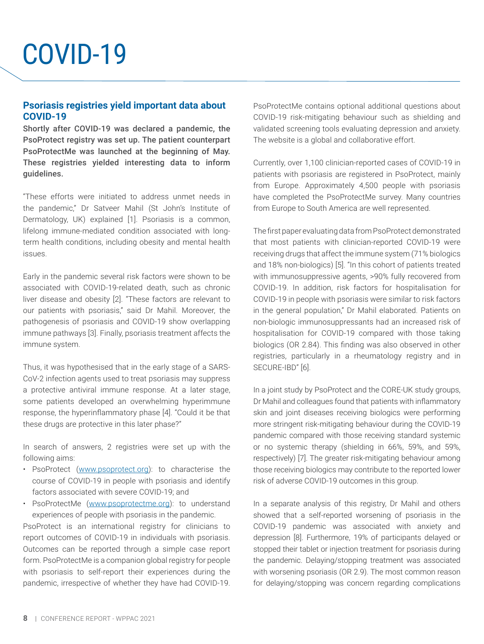## <span id="page-8-0"></span>COVID-19

#### **Psoriasis registries yield important data about COVID-19**

Shortly after COVID-19 was declared a pandemic, the PsoProtect registry was set up. The patient counterpart PsoProtectMe was launched at the beginning of May. These registries yielded interesting data to inform guidelines.

"These efforts were initiated to address unmet needs in the pandemic," Dr Satveer Mahil (St John's Institute of Dermatology, UK) explained [1]. Psoriasis is a common, lifelong immune-mediated condition associated with longterm health conditions, including obesity and mental health issues.

Early in the pandemic several risk factors were shown to be associated with COVID-19-related death, such as chronic liver disease and obesity [2]. "These factors are relevant to our patients with psoriasis," said Dr Mahil. Moreover, the pathogenesis of psoriasis and COVID-19 show overlapping immune pathways [3]. Finally, psoriasis treatment affects the immune system.

Thus, it was hypothesised that in the early stage of a SARS-CoV-2 infection agents used to treat psoriasis may suppress a protective antiviral immune response. At a later stage, some patients developed an overwhelming hyperimmune response, the hyperinflammatory phase [4]. "Could it be that these drugs are protective in this later phase?"

In search of answers, 2 registries were set up with the following aims:

- PsoProtect ([www.psoprotect.org\)](http://www.psoprotect.org): to characterise the course of COVID-19 in people with psoriasis and identify factors associated with severe COVID-19; and
- PsoProtectMe ([www.psoprotectme.org\)](http://www.psoprotectme.org): to understand experiences of people with psoriasis in the pandemic.

PsoProtect is an international registry for clinicians to report outcomes of COVID-19 in individuals with psoriasis. Outcomes can be reported through a simple case report form. PsoProtectMe is a companion global registry for people with psoriasis to self-report their experiences during the pandemic, irrespective of whether they have had COVID-19. PsoProtectMe contains optional additional questions about COVID-19 risk-mitigating behaviour such as shielding and validated screening tools evaluating depression and anxiety. The website is a global and collaborative effort.

Currently, over 1,100 clinician-reported cases of COVID-19 in patients with psoriasis are registered in PsoProtect, mainly from Europe. Approximately 4,500 people with psoriasis have completed the PsoProtectMe survey. Many countries from Europe to South America are well represented.

The first paper evaluating data from PsoProtect demonstrated that most patients with clinician-reported COVID-19 were receiving drugs that affect the immune system (71% biologics and 18% non-biologics) [5]. "In this cohort of patients treated with immunosuppressive agents, >90% fully recovered from COVID-19. In addition, risk factors for hospitalisation for COVID-19 in people with psoriasis were similar to risk factors in the general population," Dr Mahil elaborated. Patients on non-biologic immunosuppressants had an increased risk of hospitalisation for COVID-19 compared with those taking biologics (OR 2.84). This finding was also observed in other registries, particularly in a rheumatology registry and in SECURE-IBD" [6].

In a joint study by PsoProtect and the CORE-UK study groups, Dr Mahil and colleagues found that patients with inflammatory skin and joint diseases receiving biologics were performing more stringent risk-mitigating behaviour during the COVID-19 pandemic compared with those receiving standard systemic or no systemic therapy (shielding in 66%, 59%, and 59%, respectively) [7]. The greater risk-mitigating behaviour among those receiving biologics may contribute to the reported lower risk of adverse COVID-19 outcomes in this group.

In a separate analysis of this registry, Dr Mahil and others showed that a self-reported worsening of psoriasis in the COVID-19 pandemic was associated with anxiety and depression [8]. Furthermore, 19% of participants delayed or stopped their tablet or injection treatment for psoriasis during the pandemic. Delaying/stopping treatment was associated with worsening psoriasis (OR 2.9). The most common reason for delaying/stopping was concern regarding complications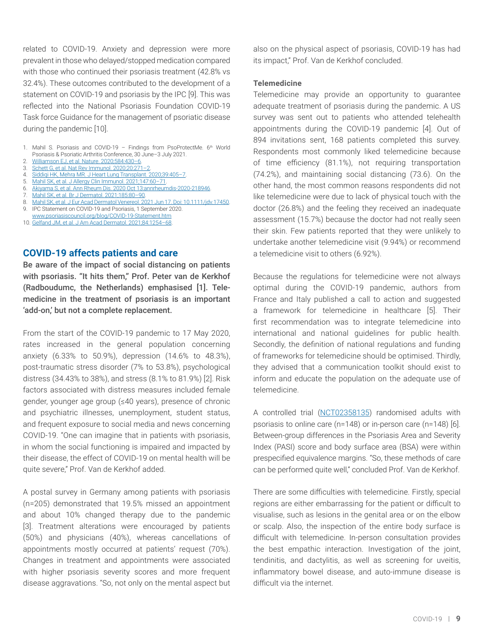<span id="page-9-0"></span>related to COVID-19. Anxiety and depression were more prevalent in those who delayed/stopped medication compared with those who continued their psoriasis treatment (42.8% vs 32.4%). These outcomes contributed to the development of a statement on COVID-19 and psoriasis by the IPC [9]. This was reflected into the National Psoriasis Foundation COVID-19 Task force Guidance for the management of psoriatic disease during the pandemic [10].

- 1. Mahil S. Psoriasis and COVID-19 Findings from PsoProtectMe. 6<sup>th</sup> World Psoriasis & Psoriatic Arthritis Conference, 30 June–3 July 2021.
- 2. [Williamson EJ, et al. Nature. 2020;584:430–6](https://pubmed.ncbi.nlm.nih.gov/32640463/).
- 3. [Schett G, et al. Nat Rev Immunol. 2020;20:271–2.](https://pubmed.ncbi.nlm.nih.gov/32296135/)
- 4. [Siddiqi HK, Mehra MR. J Heart Lung Transplant. 2020;39:405–7](https://pubmed.ncbi.nlm.nih.gov/32362390/).
- 5. [Mahil SK, et al. J Allergy Clin Immunol. 2021;147:60–71](https://pubmed.ncbi.nlm.nih.gov/33075408/). 6. [Akiyama S, et al. Ann Rheum Dis. 2020 Oct 13:annrheumdis-2020-218946.](https://pubmed.ncbi.nlm.nih.gov/33051220/)
- 7. [Mahil SK, et al. Br J Dermatol. 2021;185:80–90](https://pubmed.ncbi.nlm.nih.gov/33368145/).
- 8. [Mahil SK, et al. J Eur Acad Dermatol Venereol. 2021 Jun 17. Doi: 10.1111/jdv.17450.](https://pubmed.ncbi.nlm.nih.gov/34145643/)
- 9. IPC Statement on COVID-19 and Psoriasis, 1 September 2020.
- [www.psoriasiscouncil.org/blog/COVID-19-Statement.htm](http://www.psoriasiscouncil.org/blog/COVID-19-Statement.htm) 10. [Gelfand JM, et al. J Am Acad Dermatol. 2021;84:1254–68](https://pubmed.ncbi.nlm.nih.gov/33422626/).

#### **COVID-19 affects patients and care**

Be aware of the impact of social distancing on patients with psoriasis. "It hits them," Prof. Peter van de Kerkhof (Radboudumc, the Netherlands) emphasised [1]. Telemedicine in the treatment of psoriasis is an important 'add-on,' but not a complete replacement.

From the start of the COVID-19 pandemic to 17 May 2020, rates increased in the general population concerning anxiety (6.33% to 50.9%), depression (14.6% to 48.3%), post-traumatic stress disorder (7% to 53.8%), psychological distress (34.43% to 38%), and stress (8.1% to 81.9%) [2]. Risk factors associated with distress measures included female gender, younger age group (≤40 years), presence of chronic and psychiatric illnesses, unemployment, student status, and frequent exposure to social media and news concerning COVID-19. "One can imagine that in patients with psoriasis, in whom the social functioning is impaired and impacted by their disease, the effect of COVID-19 on mental health will be quite severe," Prof. Van de Kerkhof added.

A postal survey in Germany among patients with psoriasis (n=205) demonstrated that 19.5% missed an appointment and about 10% changed therapy due to the pandemic [3]. Treatment alterations were encouraged by patients (50%) and physicians (40%), whereas cancellations of appointments mostly occurred at patients' request (70%). Changes in treatment and appointments were associated with higher psoriasis severity scores and more frequent disease aggravations. "So, not only on the mental aspect but also on the physical aspect of psoriasis, COVID-19 has had its impact," Prof. Van de Kerkhof concluded.

#### **Telemedicine**

Telemedicine may provide an opportunity to guarantee adequate treatment of psoriasis during the pandemic. A US survey was sent out to patients who attended telehealth appointments during the COVID-19 pandemic [4]. Out of 894 invitations sent, 168 patients completed this survey. Respondents most commonly liked telemedicine because of time efficiency (81.1%), not requiring transportation (74.2%), and maintaining social distancing (73.6). On the other hand, the most common reasons respondents did not like telemedicine were due to lack of physical touch with the doctor (26.8%) and the feeling they received an inadequate assessment (15.7%) because the doctor had not really seen their skin. Few patients reported that they were unlikely to undertake another telemedicine visit (9.94%) or recommend a telemedicine visit to others (6.92%).

Because the regulations for telemedicine were not always optimal during the COVID-19 pandemic, authors from France and Italy published a call to action and suggested a framework for telemedicine in healthcare [5]. Their first recommendation was to integrate telemedicine into international and national guidelines for public health. Secondly, the definition of national regulations and funding of frameworks for telemedicine should be optimised. Thirdly, they advised that a communication toolkit should exist to inform and educate the population on the adequate use of telemedicine.

A controlled trial [\(NCT02358135\)](https://clinicaltrials.gov/ct2/show/NCT02358135) randomised adults with psoriasis to online care (n=148) or in-person care (n=148) [6]. Between-group differences in the Psoriasis Area and Severity Index (PASI) score and body surface area (BSA) were within prespecified equivalence margins. "So, these methods of care can be performed quite well," concluded Prof. Van de Kerkhof.

There are some difficulties with telemedicine. Firstly, special regions are either embarrassing for the patient or difficult to visualise, such as lesions in the genital area or on the elbow or scalp. Also, the inspection of the entire body surface is difficult with telemedicine. In-person consultation provides the best empathic interaction. Investigation of the joint, tendinitis, and dactylitis, as well as screening for uveitis, inflammatory bowel disease, and auto-immune disease is difficult via the internet.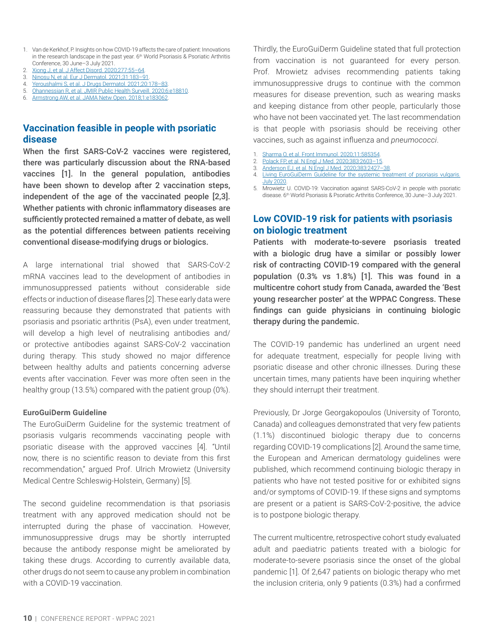- <span id="page-10-0"></span>1. Van de Kerkhof, P. Insights on how COVID-19 affects the care of patient: Innovations in the research landscape in the past year. 6<sup>th</sup> World Psoriasis & Psoriatic Arthritis Conference, 30 June–3 July 2021.
- 2. [Xiong J, et al. J Affect Disord. 2020;277:55–64.](https://pubmed.ncbi.nlm.nih.gov/32799105/)
- 3. [Ninosu N, et al. Eur J Dermatol. 2021;31:183–91](https://pubmed.ncbi.nlm.nih.gov/33871361/). 4. [Yeroushalmi S, et al. J Drugs Dermatol. 2021;20:178–83](https://pubmed.ncbi.nlm.nih.gov/33538563/).
- 5. [Ohannessian R, et al. JMIR Public Health Surveill. 2020;6:e18810](https://pubmed.ncbi.nlm.nih.gov/32238336/).
- 6. [Armstrong AW, et al. JAMA Netw Open. 2018;1:e183062](https://pubmed.ncbi.nlm.nih.gov/30646223/).

#### **Vaccination feasible in people with psoriatic disease**

When the first SARS-CoV-2 vaccines were registered, there was particularly discussion about the RNA-based vaccines [1]. In the general population, antibodies have been shown to develop after 2 vaccination steps, independent of the age of the vaccinated people [2,3]. Whether patients with chronic inflammatory diseases are sufficiently protected remained a matter of debate, as well as the potential differences between patients receiving conventional disease-modifying drugs or biologics.

A large international trial showed that SARS-CoV-2 mRNA vaccines lead to the development of antibodies in immunosuppressed patients without considerable side effects or induction of disease flares [2]. These early data were reassuring because they demonstrated that patients with psoriasis and psoriatic arthritis (PsA), even under treatment, will develop a high level of neutralising antibodies and/ or protective antibodies against SARS-CoV-2 vaccination during therapy. This study showed no major difference between healthy adults and patients concerning adverse events after vaccination. Fever was more often seen in the healthy group (13.5%) compared with the patient group (0%).

#### **EuroGuiDerm Guideline**

The EuroGuiDerm Guideline for the systemic treatment of psoriasis vulgaris recommends vaccinating people with psoriatic disease with the approved vaccines [4]. "Until now, there is no scientific reason to deviate from this first recommendation," argued Prof. Ulrich Mrowietz (University Medical Centre Schleswig-Holstein, Germany) [5].

The second guideline recommendation is that psoriasis treatment with any approved medication should not be interrupted during the phase of vaccination. However, immunosuppressive drugs may be shortly interrupted because the antibody response might be ameliorated by taking these drugs. According to currently available data, other drugs do not seem to cause any problem in combination with a COVID-19 vaccination.

Thirdly, the EuroGuiDerm Guideline stated that full protection from vaccination is not guaranteed for every person. Prof. Mrowietz advises recommending patients taking immunosuppressive drugs to continue with the common measures for disease prevention, such as wearing masks and keeping distance from other people, particularly those who have not been vaccinated yet. The last recommendation is that people with psoriasis should be receiving other vaccines, such as against influenza and *pneumococci*.

- [Sharma O, et al. Front Immunol. 2020;11:585354](https://pubmed.ncbi.nlm.nih.gov/33163000/)
- 2. [Polack FP, et al. N Engl J Med. 2020;383:2603–15](https://pubmed.ncbi.nlm.nih.gov/33301246/).
- 3. [Anderson EJ, et al. N Engl J Med. 2020;383:2427–38.](https://pubmed.ncbi.nlm.nih.gov/32991794/)
- 4. [Living EuroGuiDerm Guideline for the systemic treatment of psoriasis vulgaris.](https://www.edf.one/home/Guidelines/EuroGuiDerm-psoriasis-vulgaris.html)  [July 2020](https://www.edf.one/home/Guidelines/EuroGuiDerm-psoriasis-vulgaris.html).
- 5. Mrowietz U. COVID-19: Vaccination against SARS-CoV-2 in people with psoriatic disease. 6th World Psoriasis & Psoriatic Arthritis Conference, 30 June–3 July 2021.

#### **Low COVID-19 risk for patients with psoriasis on biologic treatment**

Patients with moderate-to-severe psoriasis treated with a biologic drug have a similar or possibly lower risk of contracting COVID-19 compared with the general population (0.3% vs 1.8%) [1]. This was found in a multicentre cohort study from Canada, awarded the 'Best young researcher poster' at the WPPAC Congress. These findings can guide physicians in continuing biologic therapy during the pandemic.

The COVID-19 pandemic has underlined an urgent need for adequate treatment, especially for people living with psoriatic disease and other chronic illnesses. During these uncertain times, many patients have been inquiring whether they should interrupt their treatment.

Previously, Dr Jorge Georgakopoulos (University of Toronto, Canada) and colleagues demonstrated that very few patients (1.1%) discontinued biologic therapy due to concerns regarding COVID-19 complications [2]. Around the same time, the European and American dermatology guidelines were published, which recommend continuing biologic therapy in patients who have not tested positive for or exhibited signs and/or symptoms of COVID-19. If these signs and symptoms are present or a patient is SARS-CoV-2-positive, the advice is to postpone biologic therapy.

The current multicentre, retrospective cohort study evaluated adult and paediatric patients treated with a biologic for moderate-to-severe psoriasis since the onset of the global pandemic [1]. Of 2,647 patients on biologic therapy who met the inclusion criteria, only 9 patients (0.3%) had a confirmed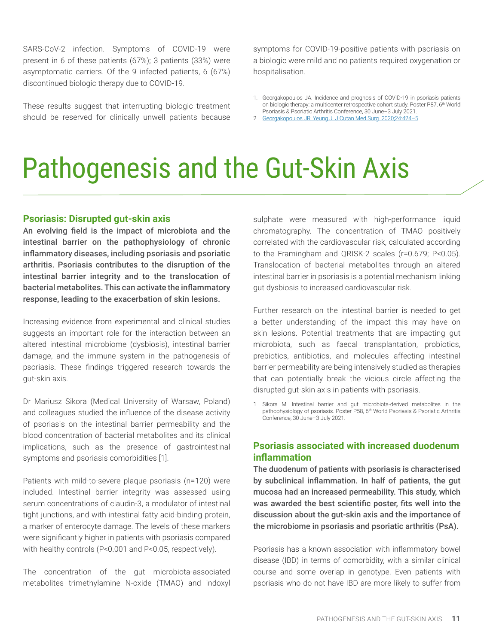<span id="page-11-0"></span>SARS-CoV-2 infection. Symptoms of COVID-19 were present in 6 of these patients (67%); 3 patients (33%) were asymptomatic carriers. Of the 9 infected patients, 6 (67%) discontinued biologic therapy due to COVID-19.

These results suggest that interrupting biologic treatment should be reserved for clinically unwell patients because symptoms for COVID-19-positive patients with psoriasis on a biologic were mild and no patients required oxygenation or hospitalisation.

- 1. Georgakopoulos JA. Incidence and prognosis of COVID-19 in psoriasis patients on biologic therapy: a multicenter retrospective cohort study. Poster P87, 6th World Psoriasis & Psoriatic Arthritis Conference, 30 June–3 July 2021.
- 2. [Georgakopoulos JR, Yeung J. J Cutan Med Surg. 2020;24:424–5.](https://pubmed.ncbi.nlm.nih.gov/32475151/)

### Pathogenesis and the Gut-Skin Axis

#### **Psoriasis: Disrupted gut-skin axis**

An evolving field is the impact of microbiota and the intestinal barrier on the pathophysiology of chronic inflammatory diseases, including psoriasis and psoriatic arthritis. Psoriasis contributes to the disruption of the intestinal barrier integrity and to the translocation of bacterial metabolites. This can activate the inflammatory response, leading to the exacerbation of skin lesions.

Increasing evidence from experimental and clinical studies suggests an important role for the interaction between an altered intestinal microbiome (dysbiosis), intestinal barrier damage, and the immune system in the pathogenesis of psoriasis. These findings triggered research towards the gut-skin axis.

Dr Mariusz Sikora (Medical University of Warsaw, Poland) and colleagues studied the influence of the disease activity of psoriasis on the intestinal barrier permeability and the blood concentration of bacterial metabolites and its clinical implications, such as the presence of gastrointestinal symptoms and psoriasis comorbidities [1].

Patients with mild-to-severe plaque psoriasis (n=120) were included. Intestinal barrier integrity was assessed using serum concentrations of claudin-3, a modulator of intestinal tight junctions, and with intestinal fatty acid-binding protein, a marker of enterocyte damage. The levels of these markers were significantly higher in patients with psoriasis compared with healthy controls (P<0.001 and P<0.05, respectively).

The concentration of the gut microbiota-associated metabolites trimethylamine N-oxide (TMAO) and indoxyl sulphate were measured with high-performance liquid chromatography. The concentration of TMAO positively correlated with the cardiovascular risk, calculated according to the Framingham and QRISK-2 scales (r=0.679; P<0.05). Translocation of bacterial metabolites through an altered intestinal barrier in psoriasis is a potential mechanism linking gut dysbiosis to increased cardiovascular risk.

Further research on the intestinal barrier is needed to get a better understanding of the impact this may have on skin lesions. Potential treatments that are impacting gut microbiota, such as faecal transplantation, probiotics, prebiotics, antibiotics, and molecules affecting intestinal barrier permeability are being intensively studied as therapies that can potentially break the vicious circle affecting the disrupted gut-skin axis in patients with psoriasis.

1. Sikora M. Intestinal barrier and gut microbiota-derived metabolites in the pathophysiology of psoriasis. Poster P58, 6<sup>th</sup> World Psoriasis & Psoriatic Arthritis Conference, 30 June–3 July 2021.

#### **Psoriasis associated with increased duodenum inflammation**

The duodenum of patients with psoriasis is characterised by subclinical inflammation. In half of patients, the gut mucosa had an increased permeability. This study, which was awarded the best scientific poster, fits well into the discussion about the gut-skin axis and the importance of the microbiome in psoriasis and psoriatic arthritis (PsA).

Psoriasis has a known association with inflammatory bowel disease (IBD) in terms of comorbidity, with a similar clinical course and some overlap in genotype. Even patients with psoriasis who do not have IBD are more likely to suffer from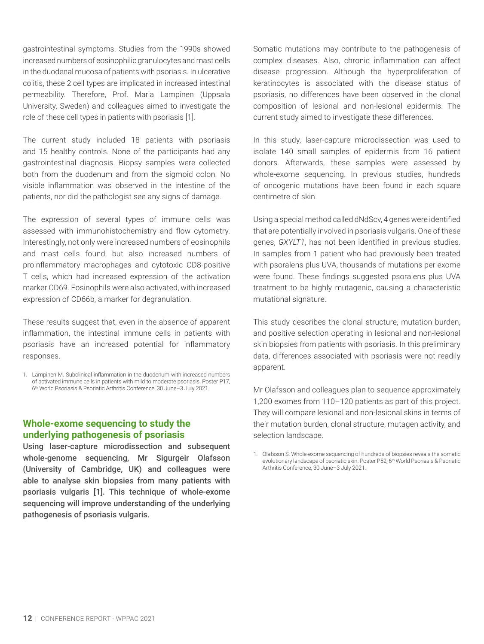<span id="page-12-0"></span>gastrointestinal symptoms. Studies from the 1990s showed increased numbers of eosinophilic granulocytes and mast cells in the duodenal mucosa of patients with psoriasis. In ulcerative colitis, these 2 cell types are implicated in increased intestinal permeability. Therefore, Prof. Maria Lampinen (Uppsala University, Sweden) and colleagues aimed to investigate the role of these cell types in patients with psoriasis [1].

The current study included 18 patients with psoriasis and 15 healthy controls. None of the participants had any gastrointestinal diagnosis. Biopsy samples were collected both from the duodenum and from the sigmoid colon. No visible inflammation was observed in the intestine of the patients, nor did the pathologist see any signs of damage.

The expression of several types of immune cells was assessed with immunohistochemistry and flow cytometry. Interestingly, not only were increased numbers of eosinophils and mast cells found, but also increased numbers of proinflammatory macrophages and cytotoxic CD8-positive T cells, which had increased expression of the activation marker CD69. Eosinophils were also activated, with increased expression of CD66b, a marker for degranulation.

These results suggest that, even in the absence of apparent inflammation, the intestinal immune cells in patients with psoriasis have an increased potential for inflammatory responses.

1. Lampinen M. Subclinical inflammation in the duodenum with increased numbers of activated immune cells in patients with mild to moderate psoriasis. Poster P17, 6th World Psoriasis & Psoriatic Arthritis Conference, 30 June–3 July 2021.

#### **Whole-exome sequencing to study the underlying pathogenesis of psoriasis**

Using laser-capture microdissection and subsequent whole-genome sequencing, Mr Sigurgeir Olafsson (University of Cambridge, UK) and colleagues were able to analyse skin biopsies from many patients with psoriasis vulgaris [1]. This technique of whole-exome sequencing will improve understanding of the underlying pathogenesis of psoriasis vulgaris.

Somatic mutations may contribute to the pathogenesis of complex diseases. Also, chronic inflammation can affect disease progression. Although the hyperproliferation of keratinocytes is associated with the disease status of psoriasis, no differences have been observed in the clonal composition of lesional and non-lesional epidermis. The current study aimed to investigate these differences.

In this study, laser-capture microdissection was used to isolate 140 small samples of epidermis from 16 patient donors. Afterwards, these samples were assessed by whole-exome sequencing. In previous studies, hundreds of oncogenic mutations have been found in each square centimetre of skin.

Using a special method called dNdScv, 4 genes were identified that are potentially involved in psoriasis vulgaris. One of these genes, *GXYLT1*, has not been identified in previous studies. In samples from 1 patient who had previously been treated with psoralens plus UVA, thousands of mutations per exome were found. These findings suggested psoralens plus UVA treatment to be highly mutagenic, causing a characteristic mutational signature.

This study describes the clonal structure, mutation burden, and positive selection operating in lesional and non-lesional skin biopsies from patients with psoriasis. In this preliminary data, differences associated with psoriasis were not readily apparent.

Mr Olafsson and colleagues plan to sequence approximately 1,200 exomes from 110–120 patients as part of this project. They will compare lesional and non-lesional skins in terms of their mutation burden, clonal structure, mutagen activity, and selection landscape.

1. Olafsson S. Whole-exome sequencing of hundreds of biopsies reveals the somatic evolutionary landscape of psoriatic skin. Poster P52, 6<sup>th</sup> World Psoriasis & Psoriatic Arthritis Conference, 30 June–3 July 2021.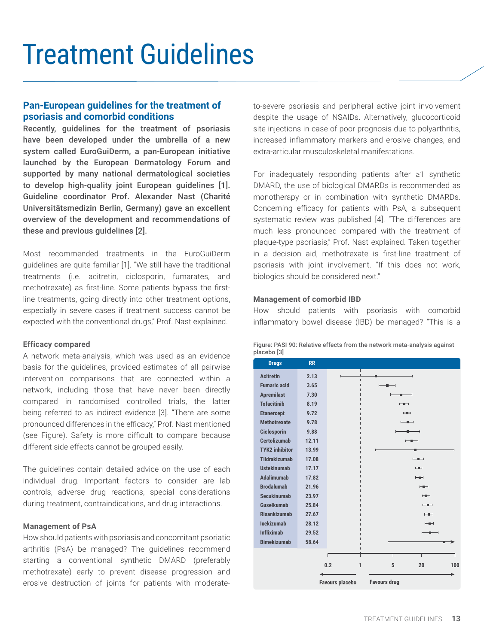## <span id="page-13-0"></span>Treatment Guidelines

#### **Pan-European guidelines for the treatment of psoriasis and comorbid conditions**

Recently, guidelines for the treatment of psoriasis have been developed under the umbrella of a new system called EuroGuiDerm, a pan-European initiative launched by the European Dermatology Forum and supported by many national dermatological societies to develop high-quality joint European guidelines [1]. Guideline coordinator Prof. Alexander Nast (Charité Universitätsmedizin Berlin, Germany) gave an excellent overview of the development and recommendations of these and previous guidelines [2].

Most recommended treatments in the EuroGuiDerm guidelines are quite familiar [1]. "We still have the traditional treatments (i.e. acitretin, ciclosporin, fumarates, and methotrexate) as first-line. Some patients bypass the firstline treatments, going directly into other treatment options, especially in severe cases if treatment success cannot be expected with the conventional drugs," Prof. Nast explained.

#### **Efficacy compared**

A network meta-analysis, which was used as an evidence basis for the guidelines, provided estimates of all pairwise intervention comparisons that are connected within a network, including those that have never been directly compared in randomised controlled trials, the latter being referred to as indirect evidence [3]. "There are some pronounced differences in the efficacy," Prof. Nast mentioned (see Figure). Safety is more difficult to compare because different side effects cannot be grouped easily.

The guidelines contain detailed advice on the use of each individual drug. Important factors to consider are lab controls, adverse drug reactions, special considerations during treatment, contraindications, and drug interactions.

#### **Management of PsA**

How should patients with psoriasis and concomitant psoriatic arthritis (PsA) be managed? The guidelines recommend starting a conventional synthetic DMARD (preferably methotrexate) early to prevent disease progression and erosive destruction of joints for patients with moderateto-severe psoriasis and peripheral active joint involvement despite the usage of NSAIDs. Alternatively, glucocorticoid site injections in case of poor prognosis due to polyarthritis, increased inflammatory markers and erosive changes, and extra-articular musculoskeletal manifestations.

For inadequately responding patients after ≥1 synthetic DMARD, the use of biological DMARDs is recommended as monotherapy or in combination with synthetic DMARDs. Concerning efficacy for patients with PsA, a subsequent systematic review was published [4]. "The differences are much less pronounced compared with the treatment of plaque-type psoriasis," Prof. Nast explained. Taken together in a decision aid, methotrexate is first-line treatment of psoriasis with joint involvement. "If this does not work, biologics should be considered next."

#### **Management of comorbid IBD**

How should patients with psoriasis with comorbid inflammatory bowel disease (IBD) be managed? "This is a

| <b>Drugs</b>                                  | <b>RR</b>           |   |                                                 |                          |     |  |
|-----------------------------------------------|---------------------|---|-------------------------------------------------|--------------------------|-----|--|
| <b>Acitretin</b>                              | 2.13                |   | т                                               |                          |     |  |
| <b>Fumaric acid</b>                           | 3.65                |   | $\blacksquare$<br>п<br>$\overline{\phantom{a}}$ |                          |     |  |
| <b>Apremilast</b>                             | 7.30                |   | н                                               | -<br>⊣                   |     |  |
| <b>Tofacitinih</b>                            | 8.19                |   |                                                 | $- +$                    |     |  |
| <b>Etanercept</b>                             | 9.72                |   |                                                 | <b>HEH</b>               |     |  |
| <b>Methotrexate</b>                           | 9.78                |   |                                                 | $-$                      |     |  |
| <b>Ciclosporin</b>                            | 9.88                |   |                                                 | -<br>⊣                   |     |  |
| <b>Certolizumab</b>                           | 12.11               |   |                                                 | $- -$                    |     |  |
| <b>TYK2 inhibitor</b>                         | 13.99               |   |                                                 |                          |     |  |
| <b>Tildrakizumab</b>                          | 17.08               |   |                                                 | $-$                      |     |  |
| <b>Ustekinumab</b>                            | 17.17               |   |                                                 | <b>HEH</b>               |     |  |
| <b>Adalimumab</b>                             | 17.82               |   |                                                 | <b>HEMI</b>              |     |  |
| <b>Brodalumab</b>                             | 21.96               |   |                                                 | <b>HEH</b>               |     |  |
| <b>Secukinumab</b>                            | 23.97               |   |                                                 | <b>HEH</b>               |     |  |
| Guselkumab                                    | 25.84               |   |                                                 | $-$                      |     |  |
| <b>Risankizumah</b>                           | 27.67               |   |                                                 | $- +$                    |     |  |
| <b>Ixekizumab</b>                             | 28.12               |   |                                                 | <b>HEH</b>               |     |  |
| <b>Infliximab</b>                             | 29.52               |   |                                                 | $\overline{\phantom{a}}$ |     |  |
| <b>Bimekizumab</b>                            | 58.64               |   |                                                 |                          |     |  |
|                                               |                     | г | Т                                               | т                        |     |  |
|                                               | 0.2<br>$\mathbf{1}$ |   | 5                                               | 20                       | 100 |  |
|                                               |                     |   |                                                 |                          |     |  |
| <b>Favours placebo</b><br><b>Favours drug</b> |                     |   |                                                 |                          |     |  |

Figure: PASI 90: Relative effects from the network meta-analysis against placebo [3]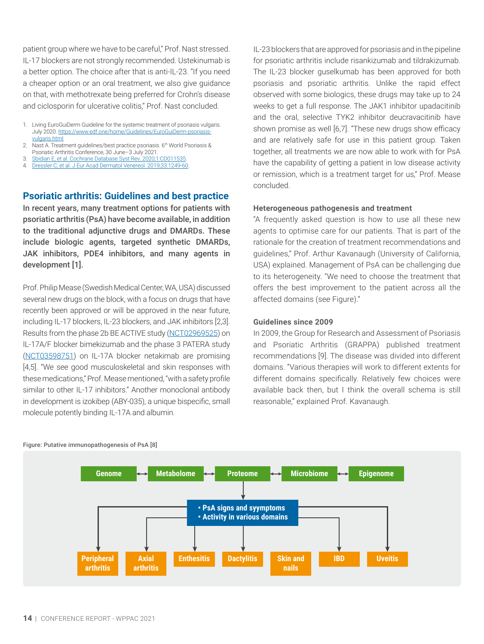<span id="page-14-0"></span>patient group where we have to be careful," Prof. Nast stressed. IL-17 blockers are not strongly recommended. Ustekinumab is a better option. The choice after that is anti-IL-23. "If you need a cheaper option or an oral treatment, we also give guidance on that, with methotrexate being preferred for Crohn's disease and ciclosporin for ulcerative colitis," Prof. Nast concluded.

- 1. Living EuroGuiDerm Guideline for the systemic treatment of psoriasis vulgaris. July 2020. [https://www.edf.one/home/Guidelines/EuroGuiDerm-psoriasis](https://www.edf.one/home/Guidelines/EuroGuiDerm-psoriasis-vulgaris.html)[vulgaris.html](https://www.edf.one/home/Guidelines/EuroGuiDerm-psoriasis-vulgaris.html)
- 2. Nast A. Treatment guidelines/best practice psoriasis. 6<sup>th</sup> World Psoriasis & Psoriatic Arthritis Conference, 30 June–3 July 2021.
- 3. [Sbidian E, et al. Cochrane Database Syst Rev. 2020;1:CD011535.](https://pubmed.ncbi.nlm.nih.gov/31917873/)
- 4. [Dressler C, et al. J Eur Acad Dermatol Venereol. 2019;33:1249-60.](https://pubmed.ncbi.nlm.nih.gov/30735612/)

#### **Psoriatic arthritis: Guidelines and best practice**

In recent years, many treatment options for patients with psoriatic arthritis (PsA) have become available, in addition to the traditional adjunctive drugs and DMARDs. These include biologic agents, targeted synthetic DMARDs, JAK inhibitors, PDE4 inhibitors, and many agents in development [1].

Prof. Philip Mease (Swedish Medical Center, WA, USA) discussed several new drugs on the block, with a focus on drugs that have recently been approved or will be approved in the near future, including IL-17 blockers, IL-23 blockers, and JAK inhibitors [2,3]. Results from the phase 2b BE ACTIVE study [\(NCT02969525\)](https://clinicaltrials.gov/ct2/show/NCT02969525) on IL-17A/F blocker bimekizumab and the phase 3 PATERA study [\(NCT03598751\)](https://clinicaltrials.gov/ct2/show/NCT03598751) on IL-17A blocker netakimab are promising [4,5]. "We see good musculoskeletal and skin responses with these medications," Prof. Mease mentioned, "with a safety profile similar to other IL-17 inhibitors." Another monoclonal antibody in development is izokibep (ABY-035), a unique bispecific, small molecule potently binding IL-17A and albumin.

IL-23 blockers that are approved for psoriasis and in the pipeline for psoriatic arthritis include risankizumab and tildrakizumab. The IL-23 blocker guselkumab has been approved for both psoriasis and psoriatic arthritis. Unlike the rapid effect observed with some biologics, these drugs may take up to 24 weeks to get a full response. The JAK1 inhibitor upadacitinib and the oral, selective TYK2 inhibitor deucravacitinib have shown promise as well [6,7]. "These new drugs show efficacy and are relatively safe for use in this patient group. Taken together, all treatments we are now able to work with for PsA have the capability of getting a patient in low disease activity or remission, which is a treatment target for us," Prof. Mease concluded.

#### **Heterogeneous pathogenesis and treatment**

"A frequently asked question is how to use all these new agents to optimise care for our patients. That is part of the rationale for the creation of treatment recommendations and guidelines," Prof. Arthur Kavanaugh (University of California, USA) explained. Management of PsA can be challenging due to its heterogeneity. "We need to choose the treatment that offers the best improvement to the patient across all the affected domains (see Figure)."

#### **Guidelines since 2009**

In 2009, the Group for Research and Assessment of Psoriasis and Psoriatic Arthritis (GRAPPA) published treatment recommendations [9]. The disease was divided into different domains. "Various therapies will work to different extents for different domains specifically. Relatively few choices were available back then, but I think the overall schema is still reasonable," explained Prof. Kavanaugh.



#### Figure: Putative immunopathogenesis of PsA [8]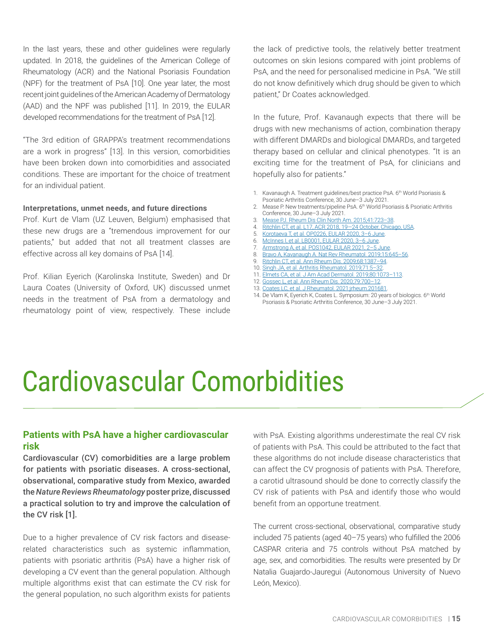<span id="page-15-0"></span>In the last years, these and other guidelines were regularly updated. In 2018, the guidelines of the American College of Rheumatology (ACR) and the National Psoriasis Foundation (NPF) for the treatment of PsA [10]. One year later, the most recent joint guidelines of the American Academy of Dermatology (AAD) and the NPF was published [11]. In 2019, the EULAR developed recommendations for the treatment of PsA [12].

"The 3rd edition of GRAPPA's treatment recommendations are a work in progress" [13]. In this version, comorbidities have been broken down into comorbidities and associated conditions. These are important for the choice of treatment for an individual patient.

#### **Interpretations, unmet needs, and future directions**

Prof. Kurt de Vlam (UZ Leuven, Belgium) emphasised that these new drugs are a "tremendous improvement for our patients," but added that not all treatment classes are effective across all key domains of PsA [14].

Prof. Kilian Eyerich (Karolinska Institute, Sweden) and Dr Laura Coates (University of Oxford, UK) discussed unmet needs in the treatment of PsA from a dermatology and rheumatology point of view, respectively. These include the lack of predictive tools, the relatively better treatment outcomes on skin lesions compared with joint problems of PsA, and the need for personalised medicine in PsA. "We still do not know definitively which drug should be given to which patient," Dr Coates acknowledged.

In the future, Prof. Kavanaugh expects that there will be drugs with new mechanisms of action, combination therapy with different DMARDs and biological DMARDs, and targeted therapy based on cellular and clinical phenotypes. "It is an exciting time for the treatment of PsA, for clinicians and hopefully also for patients."

- 1. Kavanaugh A. Treatment guidelines/best practice PsA. 6<sup>th</sup> World Psoriasis & Psoriatic Arthritis Conference, 30 June–3 July 2021.
- 2. Mease P. New treatments/pipeline PsA. 6<sup>th</sup> World Psoriasis & Psoriatic Arthritis Conference, 30 June–3 July 2021.
- 3. [Mease PJ. Rheum Dis Clin North Am. 2015;41:723–38](https://pubmed.ncbi.nlm.nih.gov/26476229/).
- 4. [Ritchlin CT, et al. L17, ACR 2018, 19—24 October, Chicago, USA](https://acrabstracts.org/abstract/dual-neutralization-of-il-17a-and-il-17f-with-bimekizumab-in-patients-with-active-psa-results-from-a-48-week-phase-2b-randomized-double%E2%80%91blind-placebo-controlled-dose-ranging-study/).
- 5. [Korotaeva T, et al. OP0226, EULAR 2020, 3–6 June](https://ard.bmj.com/content/79/Suppl_1/141).
- 6. [McInnes I, et al. LB0001, EULAR 2020, 3–6 June](https://ard.bmj.com/content/79/Suppl_1/16.2).
- 7. [Armstrong A, et al. POS1042, EULAR 2021, 2–5 June](https://ard.bmj.com/content/80/Suppl_1/795.1).
- 8. [Bravo A, Kavanaugh A. Nat Rev Rheumatol. 2019;15:645–56](https://pubmed.ncbi.nlm.nih.gov/31485004/).
- 9. [Ritchlin CT, et al. Ann Rheum Dis. 2009;68:1387–94.](https://pubmed.ncbi.nlm.nih.gov/18952643/)
- 10. [Singh JA, et al. Arthritis Rheumatol. 2019;71:5–32](https://pubmed.ncbi.nlm.nih.gov/30499246/).
- 11. [Elmets CA, et al. J Am Acad Dermatol. 2019;80:1073–113.](https://pubmed.ncbi.nlm.nih.gov/30772097/) 12. [Gossec L, et al. Ann Rheum Dis. 2020;79:700–12](https://pubmed.ncbi.nlm.nih.gov/32434812/).
- 13. [Coates LC, et al. J Rheumatol. 2021:jrheum.201681](https:/pubmed.ncbi.nlm.nih.gov/33589547).
- 14. De Vlam K, Eyerich K, Coates L. Symposium: 20 years of biologics. 6th World Psoriasis & Psoriatic Arthritis Conference, 30 June–3 July 2021.

# Cardiovascular Comorbidities

#### **Patients with PsA have a higher cardiovascular risk**

Cardiovascular (CV) comorbidities are a large problem for patients with psoriatic diseases. A cross-sectional, observational, comparative study from Mexico, awarded the *Nature Reviews Rheumatology* poster prize, discussed a practical solution to try and improve the calculation of the CV risk [1].

Due to a higher prevalence of CV risk factors and diseaserelated characteristics such as systemic inflammation, patients with psoriatic arthritis (PsA) have a higher risk of developing a CV event than the general population. Although multiple algorithms exist that can estimate the CV risk for the general population, no such algorithm exists for patients with PsA. Existing algorithms underestimate the real CV risk of patients with PsA. This could be attributed to the fact that these algorithms do not include disease characteristics that can affect the CV prognosis of patients with PsA. Therefore, a carotid ultrasound should be done to correctly classify the CV risk of patients with PsA and identify those who would benefit from an opportune treatment.

The current cross-sectional, observational, comparative study included 75 patients (aged 40–75 years) who fulfilled the 2006 CASPAR criteria and 75 controls without PsA matched by age, sex, and comorbidities. The results were presented by Dr Natalia Guajardo-Jauregui (Autonomous University of Nuevo León, Mexico).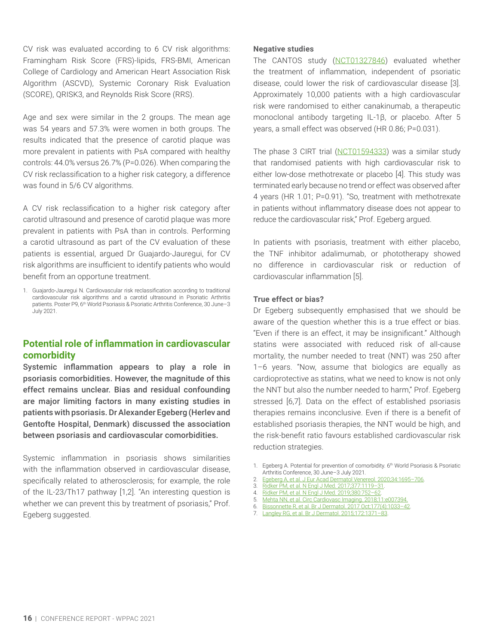<span id="page-16-0"></span>CV risk was evaluated according to 6 CV risk algorithms: Framingham Risk Score (FRS)-lipids, FRS-BMI, American College of Cardiology and American Heart Association Risk Algorithm (ASCVD), Systemic Coronary Risk Evaluation (SCORE), QRISK3, and Reynolds Risk Score (RRS).

Age and sex were similar in the 2 groups. The mean age was 54 years and 57.3% were women in both groups. The results indicated that the presence of carotid plaque was more prevalent in patients with PsA compared with healthy controls: 44.0% versus 26.7% (P=0.026). When comparing the CV risk reclassification to a higher risk category, a difference was found in 5/6 CV algorithms.

A CV risk reclassification to a higher risk category after carotid ultrasound and presence of carotid plaque was more prevalent in patients with PsA than in controls. Performing a carotid ultrasound as part of the CV evaluation of these patients is essential, argued Dr Guajardo-Jauregui, for CV risk algorithms are insufficient to identify patients who would benefit from an opportune treatment.

1. Guajardo-Jauregui N. Cardiovascular risk reclassification according to traditional cardiovascular risk algorithms and a carotid ultrasound in Psoriatic Arthritis patients. Poster P9, 6<sup>th</sup> World Psoriasis & Psoriatic Arthritis Conference, 30 June-3 July 2021.

#### **Potential role of inflammation in cardiovascular comorbidity**

Systemic inflammation appears to play a role in psoriasis comorbidities. However, the magnitude of this effect remains unclear. Bias and residual confounding are major limiting factors in many existing studies in patients with psoriasis. Dr Alexander Egeberg (Herlev and Gentofte Hospital, Denmark) discussed the association between psoriasis and cardiovascular comorbidities.

Systemic inflammation in psoriasis shows similarities with the inflammation observed in cardiovascular disease, specifically related to atherosclerosis; for example, the role of the IL-23/Th17 pathway [1,2]. "An interesting question is whether we can prevent this by treatment of psoriasis," Prof. Egeberg suggested.

#### **Negative studies**

The CANTOS study ([NCT01327846](https://clinicaltrials.gov/ct2/show/NCT01327846)) evaluated whether the treatment of inflammation, independent of psoriatic disease, could lower the risk of cardiovascular disease [3]. Approximately 10,000 patients with a high cardiovascular risk were randomised to either canakinumab, a therapeutic monoclonal antibody targeting IL-1β, or placebo. After 5 years, a small effect was observed (HR 0.86; P=0.031).

The phase 3 CIRT trial [\(NCT01594333\)](https://clinicaltrials.gov/ct2/show/NCT01594333) was a similar study that randomised patients with high cardiovascular risk to either low-dose methotrexate or placebo [4]. This study was terminated early because no trend or effect was observed after 4 years (HR 1.01; P=0.91). "So, treatment with methotrexate in patients without inflammatory disease does not appear to reduce the cardiovascular risk," Prof. Egeberg argued.

In patients with psoriasis, treatment with either placebo, the TNF inhibitor adalimumab, or phototherapy showed no difference in cardiovascular risk or reduction of cardiovascular inflammation [5].

#### **True effect or bias?**

Dr Egeberg subsequently emphasised that we should be aware of the question whether this is a true effect or bias. "Even if there is an effect, it may be insignificant." Although statins were associated with reduced risk of all-cause mortality, the number needed to treat (NNT) was 250 after 1–6 years. "Now, assume that biologics are equally as cardioprotective as statins, what we need to know is not only the NNT but also the number needed to harm," Prof. Egeberg stressed [6,7]. Data on the effect of established psoriasis therapies remains inconclusive. Even if there is a benefit of established psoriasis therapies, the NNT would be high, and the risk-benefit ratio favours established cardiovascular risk reduction strategies.

- 1. Egeberg A. Potential for prevention of comorbidity. 6<sup>th</sup> World Psoriasis & Psoriatic Arthritis Conference, 30 June–3 July 2021.
- 2. [Egeberg A, et al. J Eur Acad Dermatol Venereol. 2020;34:1695–706.](https://pubmed.ncbi.nlm.nih.gov/32022950/)
- 3. [Ridker PM, et al. N Engl J Med. 2017;377:1119–31](https://pubmed.ncbi.nlm.nih.gov/28845751/).
- 4. [Ridker PM, et al. N Engl J Med. 2019;380:752–62.](https://pubmed.ncbi.nlm.nih.gov/30415610/)
- 5. [Mehta NN, et al. Circ Cardiovasc Imaging. 2018;11:e007394.](https://pubmed.ncbi.nlm.nih.gov/29776990/)
- 6. [Bissonnette R, et al. Br J Dermatol. 2017 Oct;177\(4\):1033–42.](https://pubmed.ncbi.nlm.nih.gov/28580579/)
- 7. [Langley RG, et al. Br J Dermatol. 2015;172:1371–83.](https://pubmed.ncbi.nlm.nih.gov/25307931/)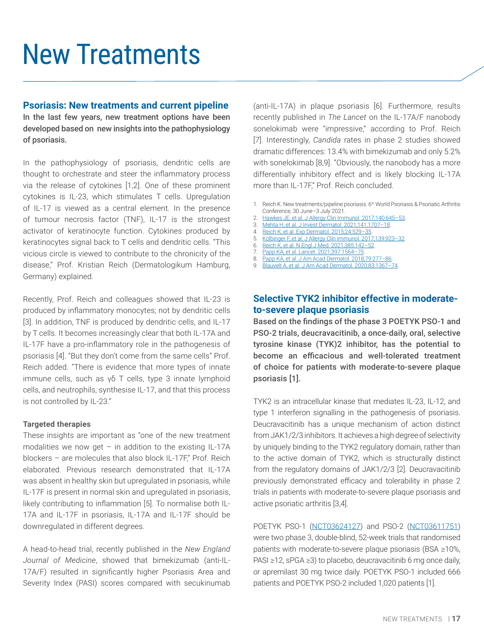## <span id="page-17-0"></span>New Treatments

#### **Psoriasis: New treatments and current pipeline**

In the last few years, new treatment options have been developed based on new insights into the pathophysiology of psoriasis.

In the pathophysiology of psoriasis, dendritic cells are thought to orchestrate and steer the inflammatory process via the release of cytokines [1,2]. One of these prominent cytokines is IL-23, which stimulates T cells. Upregulation of IL-17 is viewed as a central element. In the presence of tumour necrosis factor (TNF), IL-17 is the strongest activator of keratinocyte function. Cytokines produced by keratinocytes signal back to T cells and dendritic cells. "This vicious circle is viewed to contribute to the chronicity of the disease," Prof. Kristian Reich (Dermatologikum Hamburg, Germany) explained.

Recently, Prof. Reich and colleagues showed that IL-23 is produced by inflammatory monocytes; not by dendritic cells [3]. In addition, TNF is produced by dendritic cells, and IL-17 by T cells. It becomes increasingly clear that both IL-17A and IL-17F have a pro-inflammatory role in the pathogenesis of psoriasis [4]. "But they don't come from the same cells" Prof. Reich added. "There is evidence that more types of innate immune cells, such as γδ T cells, type 3 innate lymphoid cells, and neutrophils, synthesise IL-17, and that this process is not controlled by IL-23."

#### **Targeted therapies**

These insights are important as "one of the new treatment modalities we now get  $-$  in addition to the existing IL-17A blockers – are molecules that also block IL-17F," Prof. Reich elaborated. Previous research demonstrated that IL-17A was absent in healthy skin but upregulated in psoriasis, while IL-17F is present in normal skin and upregulated in psoriasis, likely contributing to inflammation [5]. To normalise both IL-17A and IL-17F in psoriasis, IL-17A and IL-17F should be downregulated in different degrees.

A head-to-head trial, recently published in the *New England Journal of Medicine*, showed that bimekizumab (anti-IL-17A/F) resulted in significantly higher Psoriasis Area and Severity Index (PASI) scores compared with secukinumab (anti-IL-17A) in plaque psoriasis [6]. Furthermore, results recently published in *The Lancet* on the IL-17A/F nanobody sonelokimab were "impressive," according to Prof. Reich [7]. Interestingly, *Candida* rates in phase 2 studies showed dramatic differences: 13.4% with bimekizumab and only 5.2% with sonelokimab [8,9]. "Obviously, the nanobody has a more differentially inhibitory effect and is likely blocking IL-17A more than IL-17F," Prof. Reich concluded.

1. Reich K. New treatments/pipeline psoriasis, 6<sup>th</sup> World Psoriasis & Psoriatic Arthritis Conference, 30 June–3 July 2021.

- 2. [Hawkes JE, et al. J Allergy Clin Immunol. 2017;140:645–53](https://pubmed.ncbi.nlm.nih.gov/28887948/).
- 3. [Mehta H, et al. J Invest Dermatol. 2021;141:1707–18](https://pubmed.ncbi.nlm.nih.gov/33524368/).
- 4. [Reich K, et al. Exp Dermatol. 2015;24:529–35](https://pubmed.ncbi.nlm.nih.gov/25828362/).
- 5. [Kolbinger F, et al. J Allergy Clin Immunol. 2017;139:923–32.](https://pubmed.ncbi.nlm.nih.gov/27502297/)
- 6. [Reich K, et al. N Engl J Med. 2021;385:142–52.](https://pubmed.ncbi.nlm.nih.gov/33891380/)
- 7. [Papp KA, et al. Lancet. 2021;397:1564–75.](https://pubmed.ncbi.nlm.nih.gov/33894834/)
- 8. [Papp KA, et al. J Am Acad Dermatol. 2018;79:277–86.](https://pubmed.ncbi.nlm.nih.gov/29609013/)
- 9. [Blauvelt A, et al. J Am Acad Dermatol. 2020;83:1367–74.](https://pubmed.ncbi.nlm.nih.gov/32473974/)

### **Selective TYK2 inhibitor effective in moderateto-severe plaque psoriasis**

Based on the findings of the phase 3 POETYK PSO-1 and PSO-2 trials, deucravacitinib, a once-daily, oral, selective tyrosine kinase (TYK)2 inhibitor, has the potential to become an efficacious and well-tolerated treatment of choice for patients with moderate-to-severe plaque psoriasis [1].

TYK2 is an intracellular kinase that mediates IL-23, IL-12, and type 1 interferon signalling in the pathogenesis of psoriasis. Deucravacitinib has a unique mechanism of action distinct from JAK1/2/3 inhibitors. It achieves a high degree of selectivity by uniquely binding to the TYK2 regulatory domain, rather than to the active domain of TYK2, which is structurally distinct from the regulatory domains of JAK1/2/3 [2]. Deucravacitinib previously demonstrated efficacy and tolerability in phase 2 trials in patients with moderate-to-severe plaque psoriasis and active psoriatic arthritis [3,4].

POETYK PSO-1 [\(NCT03624127\)](https://clinicaltrials.gov/ct2/show/NCT03624127) and PSO-2 [\(NCT03611751\)](https://clinicaltrials.gov/ct2/show/NCT03611751) were two phase 3, double-blind, 52-week trials that randomised patients with moderate-to-severe plaque psoriasis (BSA ≥10%, PASI ≥12, sPGA ≥3) to placebo, deucravacitinib 6 mg once daily, or apremilast 30 mg twice daily. POETYK PSO-1 included 666 patients and POETYK PSO-2 included 1,020 patients [1].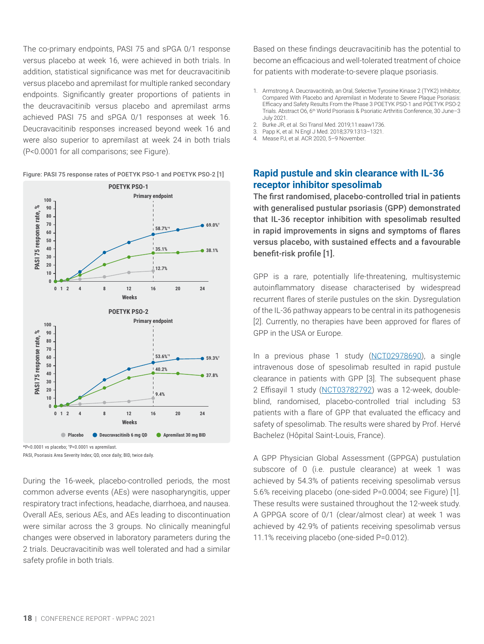<span id="page-18-0"></span>The co-primary endpoints, PASI 75 and sPGA 0/1 response versus placebo at week 16, were achieved in both trials. In addition, statistical significance was met for deucravacitinib versus placebo and apremilast for multiple ranked secondary endpoints. Significantly greater proportions of patients in the deucravacitinib versus placebo and apremilast arms achieved PASI 75 and sPGA 0/1 responses at week 16. Deucravacitinib responses increased beyond week 16 and were also superior to apremilast at week 24 in both trials (P<0.0001 for all comparisons; see Figure).



#### Figure: PASI 75 response rates of POETYK PSO-1 and POETYK PSO-2 [1]

During the 16-week, placebo-controlled periods, the most common adverse events (AEs) were nasopharyngitis, upper respiratory tract infections, headache, diarrhoea, and nausea. Overall AEs, serious AEs, and AEs leading to discontinuation were similar across the 3 groups. No clinically meaningful changes were observed in laboratory parameters during the 2 trials. Deucravacitinib was well tolerated and had a similar safety profile in both trials.

Based on these findings deucravacitinib has the potential to become an efficacious and well-tolerated treatment of choice for patients with moderate-to-severe plaque psoriasis.

- 1. Armstrong A. Deucravacitinib, an Oral, Selective Tyrosine Kinase 2 (TYK2) Inhibitor, Compared With Placebo and Apremilast in Moderate to Severe Plaque Psoriasis: Efficacy and Safety Results From the Phase 3 POETYK PSO-1 and POETYK PSO-2 Trials. Abstract O6, 6th World Psoriasis & Psoriatic Arthritis Conference, 30 June–3 July 2021.
- 2. Burke JR, et al. Sci Transl Med. 2019;11:eaaw1736.
- 3. Papp K, et al. N Engl J Med. 2018;379:1313–1321.
- 4. Mease PJ, et al. ACR 2020, 5–9 November.

#### **Rapid pustule and skin clearance with IL-36 receptor inhibitor spesolimab**

The first randomised, placebo-controlled trial in patients with generalised pustular psoriasis (GPP) demonstrated that IL-36 receptor inhibition with spesolimab resulted in rapid improvements in signs and symptoms of flares versus placebo, with sustained effects and a favourable benefit-risk profile [1].

GPP is a rare, potentially life-threatening, multisystemic autoinflammatory disease characterised by widespread recurrent flares of sterile pustules on the skin. Dysregulation of the IL-36 pathway appears to be central in its pathogenesis [2]. Currently, no therapies have been approved for flares of GPP in the USA or Europe.

In a previous phase 1 study [\(NCT02978690\)](https://clinicaltrials.gov/ct2/show/NCT02978690), a single intravenous dose of spesolimab resulted in rapid pustule clearance in patients with GPP [3]. The subsequent phase 2 Effisayil 1 study ([NCT03782792\)](https://clinicaltrials.gov/ct2/show/NCT03782792) was a 12-week, doubleblind, randomised, placebo-controlled trial including 53 patients with a flare of GPP that evaluated the efficacy and safety of spesolimab. The results were shared by Prof. Hervé Bachelez (Hôpital Saint-Louis, France).

A GPP Physician Global Assessment (GPPGA) pustulation subscore of 0 (i.e. pustule clearance) at week 1 was achieved by 54.3% of patients receiving spesolimab versus 5.6% receiving placebo (one-sided P=0.0004; see Figure) [1]. These results were sustained throughout the 12-week study. A GPPGA score of 0/1 (clear/almost clear) at week 1 was achieved by 42.9% of patients receiving spesolimab versus 11.1% receiving placebo (one-sided P=0.012).

<sup>\*</sup>P<0.0001 vs placebo; † P<0.0001 vs apremilast. PASI, Psoriasis Area Severity Index; QD, once daily; BID, twice daily.